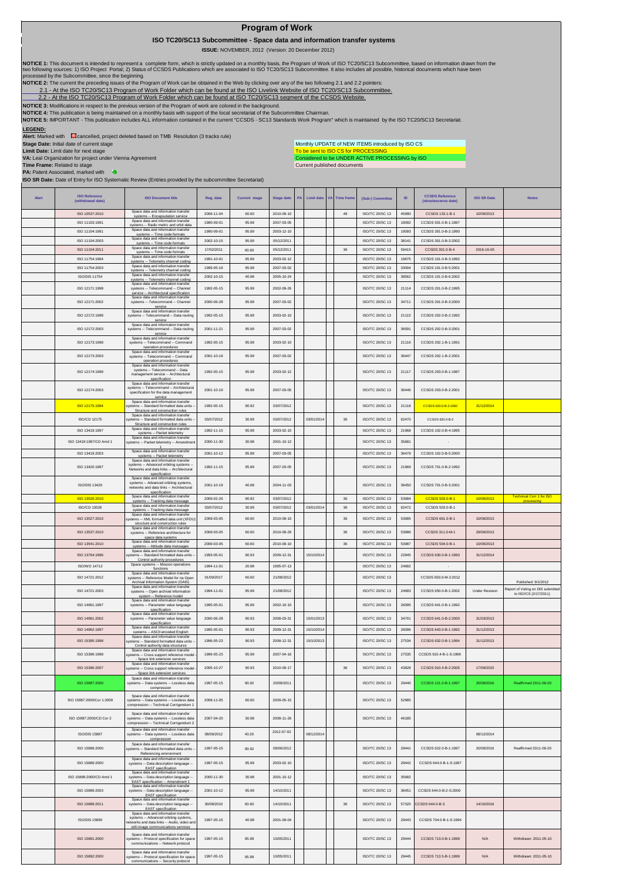## **Program of Work**

 **ISO TC20/SC13 Subcommittee - Space data and information transfer systems**

 **ISSUE:** NOVEMBER, 2012 (Version: 20 December 2012)

NOTICE 1: This document is intended to represent a complete form, which is strictly updated on a monthly basis, the Program of Work of ISO TC20/SC13 Subcommittee, based on information drawn from the<br>two following sources:

**NOTICE 2:** The current the preceding issues of the Program of Work can be obtained in the Web by clicking over any of the two following 2.1 and 2.2 pointers:

2.1- At the ISO TC20/SC13 Program of Work Folder which can be found at the ISO Livelink Website of ISO TC20/SC13 Subcommittee.<br>[2.2 - A](http://cwe.ccsds.org/cmc/docs/Forms/AllItems.aspx?RootFolder=%2fcmc%2fdocs%2fISO%20TC20%2dSC13%2fISO%20TC20%2dSC13%20Meeting%20Minutes%20and%20Presentations&FolderCTID=&View=%7bD5DD30F7%2d53FC%2d45B9%2d8B93%2d709B280A475B%7d)t the ISO TC20/SC13 Program of Work Folder which can be found at ISO TC20/SC13 segment

**NOTICE 3:** Modifications in respect to the previous version of the Program of work are colored in the background.

NOTICE 4: This publication is being maintained on a monthly basis with support of the local secretariat of the Subcommittee Chairman.<br>NOTICE 5: IMPORTANT - This publication includes ALL information contained in the current

## **LEGEND:**

**Alert:** Marked with cancelled, project deleted based on TMB Resolution (3 tracks rule)

**Stage Date:** Initial date of current stage **Limit Date:** Limit date for next stage

To be sent to ISO CS for PROCESSING<br>Considered to be UNDER ACTIVE PROCESSING by ISO Monthly UPDATE of NEW ITEMS introduced by ISO CS

Current published documents

**VA:** Leal Organization for project under Vienna Agreement **Time Frame:** Related to stage **PA:** Patent Associated, marked with **ISO SR Date:** Date of Entry for ISO Systematic Review (Entries provided by the subcommittee Secretariat)

| <b>ISO Reference</b><br>(withdrawal date) | <b>ISO Document title</b>                                                                                                                               | Reg. date                | <b>Current stage</b> | <b>Stage date</b>        | PA | <b>Limit date</b> | VA<br><b>Time frame</b> | (Sub-) Committee                   | ID             | <b>CCSDS Reference</b><br>(obsolescence date) | <b>ISO SR Date</b>    | <b>Notes</b>                                               |
|-------------------------------------------|---------------------------------------------------------------------------------------------------------------------------------------------------------|--------------------------|----------------------|--------------------------|----|-------------------|-------------------------|------------------------------------|----------------|-----------------------------------------------|-----------------------|------------------------------------------------------------|
| ISO 10537:2010                            | Space data and information transfer<br>systems -- Encapsulation service                                                                                 | 2006-11-04               | 60.60                | 2010-09-10               |    |                   | 48                      | ISO/TC 20/SC 13                    | 45990          | CCSDS 133.1-B-1                               | 10/09/2013            |                                                            |
| ISO 11103:1991                            | Space data and information transfer<br>systems -- Radio metric and orbit data                                                                           | 1990-09-01               | 95.99                | 2007-03-05               |    |                   |                         | ISO/TC 20/SC 13                    | 19092          | CCSDS 501 0-B-1:1987                          |                       |                                                            |
| ISO 11104:1991                            | Space data and information transfer<br>systems -- Time code formats                                                                                     | 1990-09-01               | 95.99                | 2003-12-10               |    |                   |                         | ISO/TC 20/SC 13                    | 19093          | CCSDS 301.0-B-2:1990                          |                       |                                                            |
| ISO 11104:2003                            | Space data and information transfer<br>systems -- Time code formats<br>Space data and information transfer                                              | 2002-10-15               | 95.99                | 05/12/2011               |    |                   |                         | ISO/TC 20/SC 13                    | 38141          | CCSDS 301.0-B-3:2002                          |                       |                                                            |
| ISO 11104:2011                            | systems -- Time code formats<br>Space data and information transfer                                                                                     | 17/02/2011               | 60.60                | 05/12/2011               |    |                   | 36                      | ISO/TC 20/SC 13                    | 59415          | CCSDS 301.0-B-4                               | 2016-16-05            |                                                            |
| ISO 11754:1994                            | systems -- Telemetry channel coding<br>Space data and information transfer                                                                              | 1991-10-01               | 95.99<br>95.99       | 2003-02-12               |    |                   |                         | <b>ISO/TC 20/SC 13</b>             | 19675          | CCSDS 101 0-B-3:1992                          |                       |                                                            |
| ISO 11754:2003<br>ISO/DIS 11754           | systems -- Telemetry channel coding<br>Space data and information transfer                                                                              | 1999-05-18<br>2002-10-15 | 40.98                | 2007-03-02<br>2005-10-24 |    |                   |                         | ISO/TC 20/SC 13<br>ISO/TC 20/SC 13 | 33004<br>38562 | CCSDS 101.0-B-5:2001<br>CCSDS 101.0-B-6:2002  |                       |                                                            |
|                                           | systems -- Telemetry channel coding<br>Space data and information transfer                                                                              |                          |                      |                          |    |                   |                         |                                    |                |                                               |                       |                                                            |
| ISO 12171:1998<br>ISO 12171:2002          | systems -- Telecommand -- Channel<br>service -- Architectural specification<br>Space data and information transfer<br>systems -- Telecommand -- Channel | 1992-05-15<br>2000-06-28 | 95.99<br>95.99       | 2002-09-26<br>2007-03-02 |    |                   |                         | ISO/TC 20/SC 13<br>ISO/TC 20/SC 13 | 21114<br>34711 | CCSDS 201.0-B-2:1995<br>CCSDS 201.0-B-3:2000  |                       |                                                            |
| ISO 12172-1998                            | service<br>Space data and information transfer<br>systems -- Telecommand -- Data routing                                                                | 1992-05-15               | 95.99                | 2003-02-10               |    |                   |                         | <b>ISO/TC 20/SC 13</b>             | 21115          | CCSDS 202.0-B-2:1992                          |                       |                                                            |
| ISO 12172:2003                            | service<br>Space data and information transfer<br>systems -- Telecommand -- Data routing                                                                | 2001-11-21               | 95.99                | 2007-03-02               |    |                   |                         | ISO/TC 20/SC 13                    | 36591          | CCSDS 202.0-B-3:2001                          |                       |                                                            |
| ISO 12173:1998                            | service<br>Space data and information transfer<br>systems -- Telecommand -- Command                                                                     | 1992-05-15               | 95.99                | 2003-02-10               |    |                   |                         | <b>ISO/TC 20/SC 13</b>             | 21116          | CCSDS 202.1-B-1:1991                          |                       |                                                            |
| ISO 12173:2003                            | operation procedures<br>Space data and information transfer<br>systems -- Telecommand -- Command                                                        | 2001-10-19               | 95.99                | 2007-03-02               |    |                   |                         | <b>ISO/TC 20/SC 13</b>             | 36447          | CCSDS 202.1-B-2:2001                          |                       |                                                            |
|                                           | operation procedures<br>Space data and information transfer                                                                                             |                          |                      |                          |    |                   |                         |                                    |                |                                               |                       |                                                            |
| ISO 12174:1998                            | systems -- Telecommand -- Data<br>management service -- Architectural<br>specification<br>Space data and information transfer                           | 1992-05-15               | 95.99                | 2003-02-12               |    |                   |                         | <b>ISO/TC 20/SC 13</b>             | 21117          | CCSDS 203.0-B-1:1987                          |                       |                                                            |
| ISO 12174:2003                            | systems -- Telecommand -- Architectura<br>specification for the data management<br>service                                                              | 2001-10-19               | 95.99                | 2007-03-05               |    |                   |                         | ISO/TC 20/SC 13                    | 36446          | CCSDS 203.0-B-2:2001                          |                       |                                                            |
| ISO 12175:1994                            | Space data and information transfer<br>systems -- Standard formatted data units<br>Structure and construction rules                                     | 1992-05-15               | 90.92                | 03/07/2012               |    |                   |                         | ISO/TC 20/SC 13                    | 21118          | CCSDS 620.0-B-2:1992                          | 31/12/2014            |                                                            |
| ISO/CD 12175                              | Space data and information transfer<br>ystems -- Standard formatted data units                                                                          | 03/07/2012               | 30.99                | 03/07/2012               |    | 03/01/2014        | 36                      | ISO/TC 20/SC 13                    | 62470          | CCSDS 620.0-B-2                               |                       |                                                            |
| ISO 13419:1997                            | Structure and construction rules<br>Space data and information transfer                                                                                 | 1992-11-15               | 95.99                | 2003-02-10               |    |                   |                         | ISO/TC 20/SC 13                    | 21968          | CCSDS 102.0-B-4:1995                          |                       |                                                            |
|                                           | systems -- Packet telemetry<br>Space data and information transfer                                                                                      |                          |                      |                          |    |                   |                         |                                    |                |                                               |                       |                                                            |
| ISO 13419:1997/CD Amd 1                   | systems -- Packet telemetry -- Amendmer                                                                                                                 | 2000-11-30               | 30.98                | 2001-10-12               |    |                   |                         | ISO/TC 20/SC 13                    | 35681          |                                               |                       |                                                            |
| ISO 13419:2003                            | Space data and information transfer<br>systems -- Packet telemetry<br>Space data and information transfer                                               | 2001-10-12               | 95.99                | 2007-03-05               |    |                   |                         | <b>ISO/TC 20/SC 13</b>             | 36479          | CCSDS 102 0-B-5:2000                          |                       |                                                            |
| ISO 13420:1997                            | systems -- Advanced orbiting systems<br>Networks and data links -- Architectural<br>specification                                                       | 1992-11-15               | 95.99                | 2007-03-05               |    |                   |                         | ISO/TC 20/SC 13                    | 21969          | CCSDS 701.0-B-2:1992                          |                       |                                                            |
| ISO/DIS 13420                             | Space data and information transfer<br>systems -- Advanced orbiting systems,<br>networks and data links -- Architectural<br>specification               | 2001-10-19               | 40.98                | 2004-11-03               |    |                   |                         | <b>ISO/TC 20/SC 13</b>             | 36450          | CCSDS 701 0-B-3:2001                          |                       |                                                            |
| ISO 13526:2010                            | Space data and information transfer<br>systems -- Tracking data message                                                                                 | 2009-02-26               | 90.92                | 03/07/2012               |    |                   | $36\,$                  | ISO/TC 20/SC 13                    | 53984          | CCSDS 503.0-B-1                               | 10/09/2013            | <b>Technical Corr 1 for ISO</b><br>processing              |
| ISO/CD 13526                              | Space data and information transfer<br>systems -- Tracking data message                                                                                 | 03/07/2012               | 30.99                | 03/07/2012               |    | 03/01/2014        | 36                      | ISO/TC 20/SC 13                    | 62472          | CCSDS 503.0-B-1                               |                       |                                                            |
| ISO 13527:2010                            | Space data and information transfer<br>ystems -- XML formatted data unit (XFDU<br>structure and construction rules                                      | 2009-03-05               | 60.60                | 2010-09-10               |    |                   | $36\,$                  | ISO/TC 20/SC 13                    | 53985          | CCSDS 661.0-B-1                               | 10/09/2013            |                                                            |
| ISO 13537:2010                            | Space data and information transfe<br>systems -- Reference architecture for                                                                             | 2009-03-05               | 60.60                | 2010-09-29               |    |                   | 36                      | ISO/TC 20/SC 13                    | 53986          | CCSDS 311.0-M-1                               | 29/09/2013            |                                                            |
| ISO 13541:2010                            | space data systems<br>Space data and information transfer                                                                                               | 2009-03-05               | 60.60                | 2010-09-10               |    |                   | 36                      | ISO/TC 20/SC 13                    | 53987          | CCSDS 504.0-B-1                               | 10/09/2013            |                                                            |
|                                           | systems -- Attitude data messages<br>Space data and information transfer                                                                                |                          |                      |                          |    |                   |                         |                                    | 22845          |                                               |                       |                                                            |
| ISO 13764:1996                            | vstems -- Standard formatted data units<br>Control authority procedures<br>Space systems -- Mission operations                                          | 1993-05-01               | 90.93                | 2009-12-31               |    | 15/10/2014        |                         | ISO/TC 20/SC 13                    |                | CCSDS 630.0-B-1:1993                          | 31/12/2014            |                                                            |
| <b>ISO/WD 14712</b>                       | functions<br>Space data and information transfer                                                                                                        | 1994-11-01               | 20.98                | 1995-07-13               |    |                   |                         | <b>ISO/TC 20/SC 13</b>             | 24682          |                                               |                       |                                                            |
| ISO 14721:2012                            | systems -- Reference Model for na Oper<br>Archival Information System (OAIS)                                                                            | 01/09/2017               | 60.60                | 21/08/2012               |    |                   |                         | ISO/TC 20/SC 13                    |                | CCSDS 650.0-M-2:2012                          |                       | Published: 9/1/2012                                        |
| ISO 14721:2003                            | Space data and information transfer<br>systems -- Open archival information<br>system -- Reference model                                                | 1994-11-01               | 95.99                | 21/08/2012               |    |                   |                         | ISO/TC 20/SC 13                    | 24683          | CCSDS 650.0-B-1:2002                          | <b>Under Revision</b> | Report of Voting on DIS submitted<br>to ISO/CS (2/17/2011) |
| ISO 14961:1997                            | Space data and information transfer<br>systems -- Parameter value language<br>specification                                                             | 1995-05-01               | 95.99                | 2002-10-10               |    |                   |                         | ISO/TC 20/SC 13                    | 26095          | CCSDS 641.0-B-1:1992                          |                       |                                                            |
| ISO 14961:2002                            | Space data and information transfer<br>systems -- Parameter value language<br>specification                                                             | 2000-06-28               | 90.93                | 2008-03-31               |    | 15/01/2013        |                         | <b>ISO/TC 20/SC 13</b>             | 34701          | CCSDS 641.0-B-2:2000                          | 31/03/2013            |                                                            |
| ISO 14962:1997                            | Space data and information transfer<br>systems -- ASCII encoded English                                                                                 | 1995-05-01               | 90.93                | 2009-12-31               |    | 15/10/2014        |                         | ISO/TC 20/SC 13                    | 26096          | CCSDS 643.0-B-1:1992                          | 31/12/2013            |                                                            |
| ISO 15395:1998                            | Space data and information transfer<br>stems -- Standard formatted data units                                                                           | 1996-05-23               | 90.93                | 2008-12-31               |    | 15/10/2013        |                         | ISO/TC 20/SC 13                    | 27534          | CCSDS 632.0-B-1:1994                          | 31/12/2013            |                                                            |
| ISO 15396:1998                            | Control authority data structures<br>Space data and information transfer<br>stems -- Cross support reference model                                      | 1996-05-23               | 95.99                | 2007-04-16               |    |                   |                         | <b>ISO/TC 20/SC 13</b>             | 27535          | CCSDS 910.4-B-1-S:1996                        |                       |                                                            |
| ISO 15396:2007                            | Space link extension services<br>Space data and information transfer<br>systems -- Cross support reference model<br>- Space link extension services     | 2005-10-27               | 90.93                | 2010-09-17               |    |                   | $36\,$                  | ISO/TC 20/SC 13                    | 43828          | CCSDS 910.4-B-2:2005                          | 17/09/2015            |                                                            |
| ISO 15887:2000                            | Space data and information transfer<br>systems -- Data systems -- Lossless data<br>compression                                                          | 1997-05-15               | 90.92                | 20/09/2011               |    |                   |                         | ISO/TC 20/SC 13                    | 29440          | CCSDS 121.0-B-1:1997                          | 20/09/2016            | Reaffirmed 2011-09-20                                      |
| ISO 15887:2000/Cor 1:2009                 | Space data and information transfer<br>systems -- Data systems -- Lossless data<br>compression -- Technical Corrigendum 1                               | 2008-11-05               | 60.60                | 2009-05-15               |    |                   |                         | ISO/TC 20/SC 13                    | 52985          |                                               |                       |                                                            |
| ISO 15887:2000/CD Cor 2                   | Space data and information transfer<br>systems -- Data systems -- Lossless data<br>compression -- Technical Corrigendum 2                               | 2007-04-20               | 30.98                | 2008-11-26               |    |                   |                         | ISO/TC 20/SC 13                    | 46185          |                                               |                       |                                                            |
| <b>ISO/DIS 15887</b>                      | Space data and information transfer<br>systems -- Data systems -- Lossless data                                                                         | 08/06/2012               | 40.20                | 2012-07-02               |    | 08/12/2014        |                         |                                    |                |                                               | 08/12/2014            |                                                            |
| ISO 15888:2000                            | compression<br>Space data and information transfer<br>ystems -- Standard formatted data units<br>Referencing environment                                | 1997-05-15               | 90.92                | 08/06/2012               |    |                   |                         | <b>ISO/TC 20/SC 13</b>             | 29441          | CCSDS 622 0-B-1:1997                          | 20/09/2016            | Reaffirmed 2011-09-20                                      |
| ISO 15889:2000                            | Space data and information transfer<br>systems -- Data description language -                                                                           | 1997-05-15               | 95.99                | 2003-02-10               |    |                   |                         | ISO/TC 20/SC 13                    | 29442          | CCSDS 644.0-B-1-S:1997                        |                       |                                                            |
| ISO 15889:2000/CD Amd 1                   | EAST specification<br>Space data and information transfer<br>systems -- Data description language<br>EAST specification -- Amendment 1                  | 2000-11-30               | 30.98                | 2001-10-12               |    |                   |                         | <b>ISO/TC 20/SC 13</b>             | 35682          |                                               |                       |                                                            |
| ISO 15889:2003                            | Space data and information transfer<br>systems -- Data description language -                                                                           | 2001-10-12               | 95.99                | 14/10/2011               |    |                   |                         | ISO/TC 20/SC 13                    | 36451          | CCSDS 644.0-B-2-S:2000                        |                       |                                                            |
| ISO 15889:2011                            | EAST specification<br>Space data and information transfer<br>systems -- Data description language -<br>EAST specification                               | 30/08/2010               | 60.60                | 14/10/2011               |    |                   | 36                      | ISO/TC 20/SC 13                    | 57320          | CCSDS 644.0-B-3                               | 14/10/2016            |                                                            |
| ISO/DIS 15890                             | Space data and information transfer<br>systems -- Advanced orbiting systems,<br>etworks and data links -- Audio, video and                              | 1997-05-15               | 40.98                | 2001-09-04               |    |                   |                         | ISO/TC 20/SC 13                    | 29443          | CCSDS 704.0-B-1-S:1994                        |                       |                                                            |
| ISO 15891:2000                            | still-image communications services<br>Space data and information transfer<br>systems -- Protocol specification for space                               | 1997-05-15               | 95.99                | 10/05/2011               |    |                   |                         | ISO/TC 20/SC 13                    | 29444          | CCSDS 713.0-B-1:1999                          | N/A                   | Withdrawn: 2011-05-10                                      |
| ISO 15892:2000                            | communications -- Network protocol<br>Space data and information transfer<br>vstems -- Protocol specification for space                                 | 1997-05-15               | 95.99                | 10/05/2011               |    |                   |                         | ISO/TC 20/SC 13                    | 29445          | CCSDS 713.5-B-1:1999                          | N/A                   | Withdrawn: 2011-05-10                                      |
|                                           | communications -- Security protocol                                                                                                                     |                          |                      |                          |    |                   |                         |                                    |                |                                               |                       |                                                            |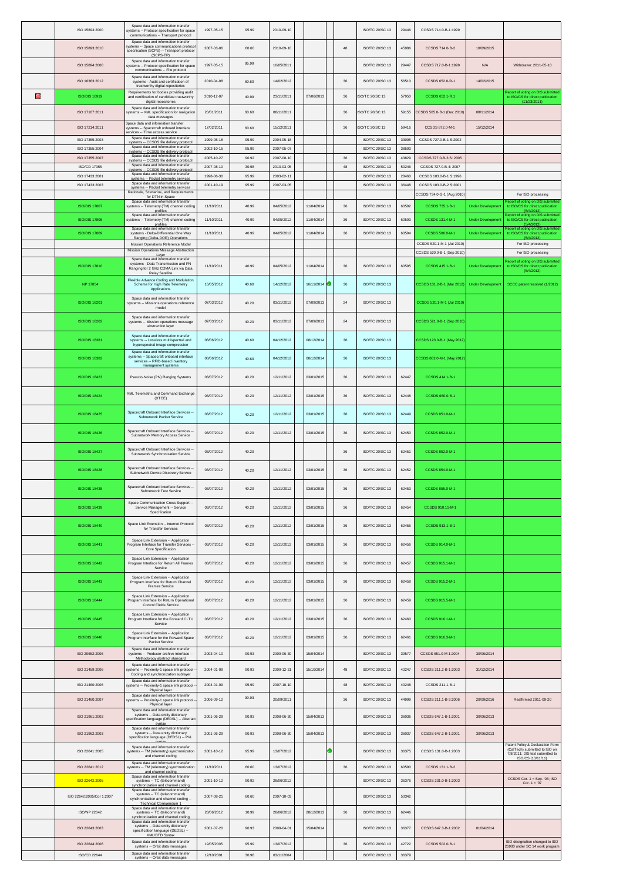|   | ISO 15893:2000                   | Space data and information transfer<br>ystems -- Protocol specification for space<br>communications -- Transport protocol          | 1997-05-15               | 95.99          | 2010-09-10               |            |             | ISO/TC 20/SC 13                    | 29446          | CCSDS 714.0-B-1:1999                                 |                          |                                                                                                                           |
|---|----------------------------------|------------------------------------------------------------------------------------------------------------------------------------|--------------------------|----------------|--------------------------|------------|-------------|------------------------------------|----------------|------------------------------------------------------|--------------------------|---------------------------------------------------------------------------------------------------------------------------|
|   | ISO 15893:2010                   | Space data and information transfer<br>systems -- Space communications protoco<br>specification (SCPS) -- Transport protocol       | 2007-03-06               | 60.60          | 2010-09-10               |            | $\bf 48$    | ISO/TC 20/SC 13                    | 45986          | CCSDS 714.0-B-2                                      | 10/09/2015               |                                                                                                                           |
|   | ISO 15894:2000                   | (SCPS-TP)<br>Space data and information transfer<br>systems -- Protocol specification for space<br>communications -- File protocol | 1997-05-15               | 95.99          | 10/05/2011               |            |             | ISO/TC 20/SC 13                    | 29447          | CCSDS 717.0-B-1:1999                                 | N/A                      | Withdrawn: 2011-05-10                                                                                                     |
|   | ISO 16363:2012                   | Space data and information transfer<br>systems - Audit and certification of<br>trustworthy digital repositories                    | 2010-04-08               | 60.60          | 14/02/2012               |            | 36          | ISO/TC 20/SC 13                    | 56510          | CCSDS 652.0-R-1                                      | 14/02/2015               |                                                                                                                           |
| е | <b>ISO/DIS 16919</b>             | Requirements for bodies providing audit<br>and certification of candidate trustworthy<br>digital repositories                      | 2010-12-07               | 40.99          | 23/11/2011               | 07/06/2013 | 36          | ISO/TC 20/SC 13                    | 57950          | CCSDS 652.1-R.1                                      |                          | Report of voting on DIS submitted<br>to ISO/CS for direct publication<br>(11/23/2011)                                     |
|   | ISO 17107:2011                   | Space data and information transfer<br>systems -- XML specification for navigation<br>data messages                                | 20/01/2011               | 60.60          | 08/11/2011               |            | 36          | SO/TC 20/SC 13                     | 59155          | CCSDS 505.0-B-1 (Dec 2010)                           | 08/11/2014               |                                                                                                                           |
|   | ISO 17214:2011                   | Space data and information transfer<br>ystems -- Spacecraft onboard interface<br>ervices -- Time access service                    | 17/02/2011               | 60.60          | 15/12/2011               |            | 36          | ISO/TC 20/SC 13                    | 59416          | CCSDS 872.0-M-1                                      | 15/12/2014               |                                                                                                                           |
|   | ISO 17355:2003                   | Space data and information transfer<br>systems -- CCSDS file delivery protocol<br>Space data and information transfer              | 1999-05-18               | 95.99          | 2004-05-18               |            |             | <b>ISO/TC 20/SC 13</b>             | 33005          | CCSDS 727.0-B-1 S:2002                               |                          |                                                                                                                           |
|   | ISO 17355:2004<br>ISO 17355:2007 | svstems -- CCSDS file delivery protocol<br>Space data and information transfer                                                     | 2002-10-15<br>2005-10-27 | 95.99<br>90.92 | 2007-05-07<br>2007-08-10 |            | 36          | ISO/TC 20/SC 13<br>ISO/TC 20/SC 13 | 38593<br>43829 | CCSDS 727.0-B-3 S: 2005                              |                          |                                                                                                                           |
|   | ISO/CD 17355                     | svstems -- CCSDS file delivery protocol<br>Space data and information transfer<br>svstems -- CCSDS file deliverv protocol          | 2007-08-10               | 30.98          | 2010-03-05               |            | 48          | ISO/TC 20/SC 13                    | 50246          | CCSDS 727.0-B-4: 2007                                |                          |                                                                                                                           |
|   | ISO 17433:2001                   | Space data and information transfer<br>systems -- Packet telemetry services<br>Space data and information transfer                 | 1998-06-30               | 95.99          | 2003-02-11               |            |             | ISO/TC 20/SC 13                    | 28460          | CCSDS 103.0-B-1 S:1996                               |                          |                                                                                                                           |
|   | ISO 17433:2003                   | systems -- Packet telemetry services<br>Rationale, Scenarios, and Requirements<br>for DTN in Space                                 | 2001-10-19               | 95.99          | 2007-03-05               |            |             | ISO/TC 20/SC 13                    | 36448          | CCSDS 103.0-B-2 S:2001<br>CCSDS 734.0-G-1 (Aug 2010) |                          | For ISO processing                                                                                                        |
|   | <b>ISO/DIS 17807</b>             | Space data and information transfer<br>systems -- Telemetry (TM) channel coding<br>profiles                                        | 11/10/2011               | 40.99          | 04/05/2012               | 11/04/2014 | 36          | ISO/TC 20/SC 13                    | 60592          | CCSDS 735.1-B-1                                      | <b>Under Developmen</b>  | eport of voting on DIS submitted<br>to ISO/CS for direct publication<br>(5/4/2012)                                        |
|   | <b>ISO/DIS 17808</b>             | Space data and information transfer<br>systems -- Telemetry (TM) channel coding<br>profiles                                        | 11/10/2011               | 40.99          | 04/05/2012               | 11/04/2014 | $36\,$      | ISO/TC 20/SC 13                    | 60593          | CCSDS 131.4-M-1                                      | <b>Under Developmen</b>  | teport of voting on DIS submitted<br>to ISO/CS for direct publication<br>(5/4/2012)                                       |
|   | <b>ISO/DIS 17809</b>             | Space data and information transfer<br>systems - Delta-Differential One Way                                                        | 11/10/2011               | 40.99          | 04/05/2012               | 11/04/2014 | $36\,$      | ISO/TC 20/SC 13                    | 60594          | CCSDS 506.0-M-1                                      | <b>Under Developme</b>   | Report of voting on DIS submitted<br>to ISO/CS for direct publication<br>(5/4/2012)                                       |
|   |                                  | Ranging (Delta-DOR) Operations<br>Mission Operations Reference Model                                                               |                          |                |                          |            |             |                                    |                | CCSDS 520.1-M-1 (Jul 2010)                           |                          | For ISO processing                                                                                                        |
|   |                                  | Mission Operations Message Abstraction<br>Laver<br>Space data and information transfer                                             |                          |                |                          |            |             |                                    |                | CCSDS 520.0-B-1 (Sep 2010)                           |                          | For ISO processing<br>eport of voting on DIS submitted                                                                    |
|   | <b>ISO/DIS 17810</b>             | systems - Data Transmission and PN<br>Ranging for 2 GHz CDMA Link via Data<br><b>Relay Satellite</b>                               | 11/10/2011               | 40.99          | 04/05/2012               | 11/04/2014 | 36          | ISO/TC 20/SC 13                    | 60595          | CCSDS 415.1-B-1                                      | <b>Under Development</b> | to ISO/CS for direct publication<br>(5/4/2012)                                                                            |
|   | <b>NP 17854</b>                  | Flexible Advance Coding and Modulation<br>Scheme for High Rate Telemetry<br>Applications                                           | 16/05/2012               | 40.60          | 14/12/2012               | 16/11/2014 | 36          | <b>ISO/TC 20/SC 13</b>             |                | CCSDS 131.2-B-1 (Mar 2012)                           | <b>Under Development</b> | SCCC patent resolved (1/2012)                                                                                             |
|   | <b>ISO/DIS 18201</b>             | Space data and information transfer<br>systems -- Missions operations reference<br>model                                           | 07/03/2012               | 40.20          | 03/11/2012               | 07/09/2013 | $\sqrt{24}$ | ISO/TC 20/SC 13                    |                | CCSDS 520.1-M-1 (Jul 2010)                           |                          |                                                                                                                           |
|   | <b>ISO/DIS 18202</b>             | Space data and information transfer<br>systems -- Mission operations message<br>abstraction layer                                  | 07/03/2012               | 40.20          | 03/11/2012               | 07/09/2013 | $\sqrt{24}$ | ISO/TC 20/SC 13                    |                | CCSDS 521.0-B-1 (Sep 2010)                           |                          |                                                                                                                           |
|   | <b>ISO/DIS 18381</b>             | Space data and information transfer<br>systems -- Lossless multispectral and<br>hyperspectral image compression                    | 08/06/2012               | 40.60          | 04/12/2012               | 08/12/2014 | 36          | ISO/TC 20/SC 13                    |                | CCSDS 123.0-B-1 (May 2012                            |                          |                                                                                                                           |
|   | <b>ISO/DIS 18382</b>             | Space data and information transfer<br>systems -- Spacecraft onboard interface<br>services -- RFID-based inventory                 | 08/06/2012               | 40.60          | 04/12/2012               | 08/12/2014 | 36          | ISO/TC 20/SC 13                    |                | CCSDS 882.0-M-1 (May 2012                            |                          |                                                                                                                           |
|   | <b>ISO/DIS 18423</b>             | management systems<br>Pseudo-Noise (PN) Ranging Systems                                                                            | 03/07/2012               | 40.20          | 12/11/2012               | 03/01/2015 | 36          | ISO/TC 20/SC 13                    | 62447          | CCSDS 414.1-B-1                                      |                          |                                                                                                                           |
|   | <b>ISO/DIS 18424</b>             | XML Telemetric and Command Exchange<br>(XTCE)                                                                                      | 03/07/2012               | 40.20          | 12/11/2012               | 03/01/2015 | 36          | ISO/TC 20/SC 13                    | 62448          | CCSDS 660.0-B-1                                      |                          |                                                                                                                           |
|   | <b>ISO/DIS 18425</b>             | Spacecraft Onboard Interface Services                                                                                              | 03/07/2012               | 40.20          | 12/11/2012               | 03/01/2015 | $36\,$      | ISO/TC 20/SC 13                    | 62449          | CCSDS 851.0-M-1                                      |                          |                                                                                                                           |
|   | <b>ISO/DIS 18426</b>             | Subnetwork Packet Service<br>Spacecraft Onboard Interface Services                                                                 | 03/07/2012               | 40.20          | 12/11/2012               | 03/01/2015 | 36          | ISO/TC 20/SC 13                    | 62450          | CCSDS 852.0-M-1                                      |                          |                                                                                                                           |
|   |                                  | Subnetwork Memory Access Service<br>Spacecraft Onboard Interface Services                                                          |                          |                |                          |            |             |                                    |                |                                                      |                          |                                                                                                                           |
|   | <b>ISO/DIS 18427</b>             | Subnetwork Synchronization Service<br>Spacecraft Onboard Interface Services -                                                      | 03/07/2012               | 40.20          |                          |            | $36\,$      | ISO/TC 20/SC 13                    | 62451          | CCSDS 852.0-M-1                                      |                          |                                                                                                                           |
|   | <b>ISO/DIS 18428</b>             | Subnetwork Device Discovery Service                                                                                                | 03/07/2012               | 40.20          | 12/11/2012               | 03/01/2015 | 36          | ISO/TC 20/SC 13                    | 62452          | CCSDS 854.0-M-1                                      |                          |                                                                                                                           |
|   | <b>ISO/DIS 18438</b>             | Spacecraft Onboard Interface Services -<br>Subnetwork Test Service                                                                 | 03/07/2012               | 40.20          | 12/11/2012               | 03/01/2015 | 36          | ISO/TC 20/SC 13                    | 62453          | CCSDS 855.0-M-1                                      |                          |                                                                                                                           |
|   | <b>ISO/DIS 18439</b>             | Space Communication Cross Support<br>Service Management -- Service<br>Specification                                                | 03/07/2012               | 40.20          | 12/11/2012               | 03/01/2015 | 36          | <b>ISO/TC 20/SC 13</b>             | 62454          | CCSDS 910.11-M-1                                     |                          |                                                                                                                           |
|   | <b>ISO/DIS 18440</b>             | Space Link Extension -- Internet Protocol<br>for Transfer Services                                                                 | 03/07/2012               | 40.20          | 12/11/2012               | 03/01/2015 | 36          | ISO/TC 20/SC 13                    | 62455          | CCSDS 913.1-B-1                                      |                          |                                                                                                                           |
|   | <b>ISO/DIS 18441</b>             | Space Link Extension -- Application<br>Program Interface for Transfer Services -<br>Core Specification                             | 03/07/2012               | 40.20          | 12/11/2012               | 03/01/2015 | $36\,$      | ISO/TC 20/SC 13                    | 62456          | CCSDS 914.0-M-1                                      |                          |                                                                                                                           |
|   | <b>ISO/DIS 18442</b>             | Space Link Extension -- Application<br>Program Interface for Return All Frames<br>Service                                          | 03/07/2012               | 40.20          | 12/11/2012               | 03/01/2015 | 36          | ISO/TC 20/SC 13                    | 62457          | CCSDS 915.1-M-1                                      |                          |                                                                                                                           |
|   | <b>ISO/DIS 18443</b>             | Space Link Extension -- Application<br>Program Interface for Return Channel<br>Frames Service                                      | 03/07/2012               | 40.20          | 12/11/2012               | 03/01/2015 | 36          | ISO/TC 20/SC 13                    | 62458          | CCSDS 915.2-M-1                                      |                          |                                                                                                                           |
|   | <b>ISO/DIS 18444</b>             | Space Link Extension -- Application<br>Program Interface for Return Operational<br>Control Fields Service                          | 03/07/2012               | 40.20          | 12/11/2012               | 03/01/2015 | 36          | ISO/TC 20/SC 13                    | 62459          | CCSDS 915.5-M-1                                      |                          |                                                                                                                           |
|   | <b>ISO/DIS 18445</b>             | Space Link Extension -- Application<br>Program Interface for the Forward CLTU<br>Service                                           | 03/07/2012               | 40.20          | 12/11/2012               | 03/01/2015 | 36          | ISO/TC 20/SC 13                    | 62460          | CCSDS 916.1-M-1                                      |                          |                                                                                                                           |
|   | <b>ISO/DIS 18446</b>             | Space Link Extension -- Application<br>Program Interface for the Forward Space<br>Packet Service                                   | 03/07/2012               | 40.20          | 12/11/2012               | 03/01/2015 | 36          | ISO/TC 20/SC 13                    | 62461          | CCSDS 916.3-M-1                                      |                          |                                                                                                                           |
|   | ISO 20652:2006                   | Space data and information transfer<br>systems -- Producer-archive interface -                                                     | 2003-04-10               | 90.93          | 2009-06-30               | 15/04/2014 |             | ISO/TC 20/SC 13                    | 39577          | CCSDS 651.0-M-1:2004                                 | 30/06/2014               |                                                                                                                           |
|   |                                  | Methodology abstract standard<br>Space data and information transfer                                                               |                          |                |                          |            |             |                                    |                |                                                      |                          |                                                                                                                           |
|   | ISO 21459:2006                   | ystems -- Proximity-1 space link protocol<br>Coding and synchronization sublayer<br>Space data and information transfer            | 2004-01-09               | 90.93          | 2009-12-31               | 15/10/2014 | 48          | ISO/TC 20/SC 13                    | 40247          | CCSDS 211.2-B-1:2003                                 | 31/12/2014               |                                                                                                                           |
|   | ISO 21460:2006                   | ystems -- Proximity-1 space link protocol<br>Physical layer<br>Space data and information transfer                                 | 2004-01-09               | 95.99          | 2007-10-10               |            | 48          | ISO/TC 20/SC 13                    | 40248          | CCSDS 211.1-B-1                                      |                          |                                                                                                                           |
|   | ISO 21460:2007                   | systems -- Proximity-1 space link protocol<br>Physical layer                                                                       | 2006-09-12               | 90.93          | 20/09/2011               |            | $36\,$      | ISO/TC 20/SC 13                    | 44999          | CCSDS 211.1-B-3:2006                                 | 20/09/2016               | Reaffirmed 2011-09-20                                                                                                     |
|   | ISO 21961:2003                   | Space data and information transfer<br>systems -- Data entity dictionary<br>specification language (DEDSL) -- Abstrac<br>syntax    | 2001-06-29               | 90.93          | 2008-06-30               | 15/04/2013 |             | ISO/TC 20/SC 13                    | 36036          | CCSDS 647.1-B-1:2001                                 | 30/06/2013               |                                                                                                                           |
|   | ISO 21962:2003                   | Space data and information transfer<br>systems -- Data entity dictionary<br>specification language (DEDSL) -- PVL                  | 2001-06-29               | 90.93          | 2008-06-30               | 15/04/2013 |             | ISO/TC 20/SC 13                    | 36037          | CCSDS 647.2-B-1:2001                                 | 30/06/2013               |                                                                                                                           |
|   | ISO 22641:2005                   | Space data and information transfer<br>systems -- TM (telemetry) synchronization<br>and channel coding                             | 2001-10-12               | 95.99          | 13/07/2012               |            |             | ISO/TC 20/SC 13                    | 36375          | CCSDS 131.0-B-1:2003                                 |                          | Patent Policy & Declaration Form<br>(CalTech) submitted to ISO on<br>7/8/2011; DIS text submitted to<br>ISO/CS (10/11/11) |
|   | ISO 22641:2012                   | Space data and information transfer<br>systems -- TM (telemetry) synchronization<br>and channel coding                             | 11/10/2011               | 60.60          | 13/07/2012               |            | 36          | ISO/TC 20/SC 13                    | 60590          | CCSDS 131.1-B-2                                      |                          |                                                                                                                           |
|   | ISO 22642:2005                   | Space data and information transfer<br>systems -- TC (telecommand)                                                                 | 2001-10-12               | 90.92          | 28/06/2012               |            |             | ISO/TC 20/SC 13                    | 36376          | CCSDS 231.0-B-1:2003                                 |                          | CCSDS Cor. 1 = Sep. '03; ISO<br>Cor. $1 = '07$                                                                            |
|   | ISO 22642:2005/Cor 1:2007        | synchronization and channel coding<br>Space data and information transfer<br>systems -- TC (telecommand)                           | 2007-08-21               | 60.60          | 2007-10-03               |            |             | ISO/TC 20/SC 13                    | 50342          |                                                      |                          |                                                                                                                           |
|   |                                  | synchronization and channel coding --<br>Technical Corrigendum 1<br>Space data and information transfer                            |                          |                |                          |            |             |                                    |                |                                                      |                          |                                                                                                                           |
|   | ISO/NP 22642                     | systems -- TC (telecommand)<br>synchronization and channel coding<br>Space data and information transfer                           | 28/06/2012               | 10.99          | 28/06/2012               | 28/12/2013 | 36          | ISO/TC 20/SC 13                    | 62446          |                                                      |                          |                                                                                                                           |
|   | ISO 22643:2003                   | systems -- Data entity dictionary<br>specification language (DEDSL) --<br>XML/DTD Syntax                                           | 2001-07-20               | 90.93          | 2009-04-01               | 15/04/2014 |             | ISO/TC 20/SC 13                    | 36377          | CCSDS 647.3-B-1:2002                                 | 01/04/2014               |                                                                                                                           |
|   | ISO 22644:2006                   | Space data and information transfer<br>systems -- Orbit data messages                                                              | 19/05/2005               | 95.99          | 13/07/2012               |            | 36          | ISO/TC 20/SC 13                    | 42722          | CCSDS 502.0-B-1                                      |                          | ISO designation changed to ISO<br>26900 under SC 14 work program                                                          |
|   | ISO/CD 22644                     | Space data and information transfer<br>systems -- Orbit data messages                                                              | 12/10/2001               | 30.98          | 03/11/2004               |            |             | ISO/TC 20/SC 13                    | 36379          |                                                      |                          |                                                                                                                           |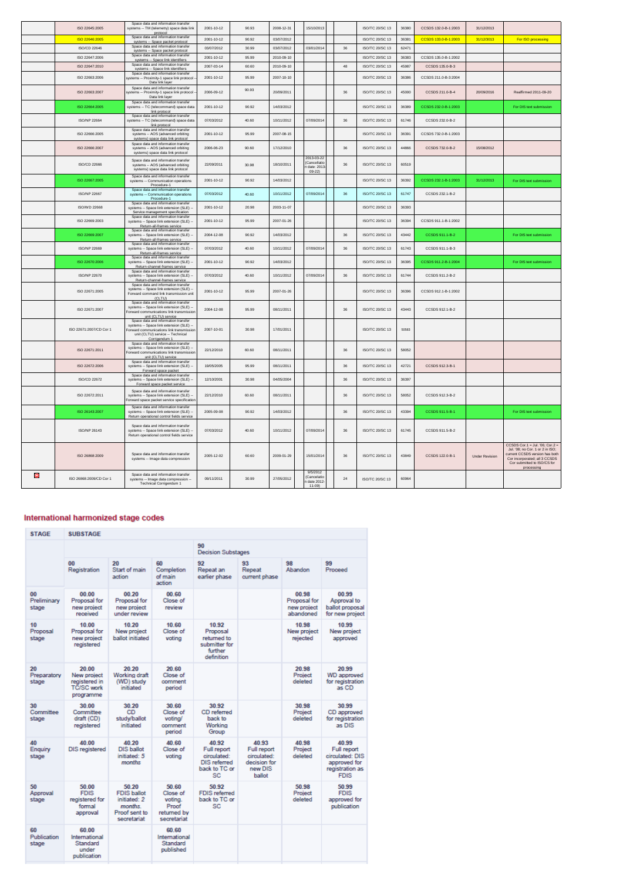|   | ISO 22645:2005          | Space data and information transfer<br>systems -- TM (telemetry) space data link<br>protocol                                                                                     | 2001-10-12 | 90.93 | 2008-12-31 | 15/10/2013                                          |        | ISO/TC 20/SC 13        | 36380 | CCSDS 132.0-B-1:2003 | 31/12/2013            |                                                                                                                                                                                     |
|---|-------------------------|----------------------------------------------------------------------------------------------------------------------------------------------------------------------------------|------------|-------|------------|-----------------------------------------------------|--------|------------------------|-------|----------------------|-----------------------|-------------------------------------------------------------------------------------------------------------------------------------------------------------------------------------|
|   | ISO 22646:2005          | Space data and information transfer<br>systems -- Space packet protocol                                                                                                          | 2001-10-12 | 90.92 | 03/07/2012 |                                                     |        | ISO/TC 20/SC 13        | 36381 | CCSDS 133.0-B-1:2003 | 31/12/3013            | For ISO processing                                                                                                                                                                  |
|   | ISO/CD 22646            | Space data and information transfer<br>systems -- Space packet protocol                                                                                                          | 03/07/2012 | 30.99 | 03/07/2012 | 03/01/2014                                          | 36     | ISO/TC 20/SC 13        | 62471 |                      |                       |                                                                                                                                                                                     |
|   | ISO 22647:2006          | Space data and information transfer                                                                                                                                              | 2001-10-12 | 95.99 | 2010-09-10 |                                                     |        | <b>ISO/TC 20/SC 13</b> | 36383 | CCSDS 135.0-B-1:2002 |                       |                                                                                                                                                                                     |
|   | ISO 22647-2010          | systems -- Space link identifiers<br>Space data and information transfer                                                                                                         | 2007-03-14 | 60.60 | 2010-09-10 |                                                     | 48     | <b>ISO/TC 20/SC 13</b> | 45987 | CCSDS 135 0-B-3      |                       |                                                                                                                                                                                     |
|   |                         | systems -- Space link identifiers<br>Space data and information transfe                                                                                                          |            |       |            |                                                     |        |                        |       |                      |                       |                                                                                                                                                                                     |
|   | ISO 22663:2006          | systems -- Proximity-1 space link protocol<br>Data link layer                                                                                                                    | 2001-10-12 | 95.99 | 2007-10-10 |                                                     |        | <b>ISO/TC 20/SC 13</b> | 36386 | CCSDS 211.0-B-3:2004 |                       |                                                                                                                                                                                     |
|   | ISO 22663:2007          | Space data and information transfer<br>systems -- Proximity-1 space link protocol<br>Data link layer                                                                             | 2006-09-12 | 90.93 | 20/09/2011 |                                                     | 36     | <b>ISO/TC 20/SC 13</b> | 45000 | CCSDS 211.0-B-4      | 20/09/2016            | Reaffirmed 2011-09-20                                                                                                                                                               |
|   | ISO 22664:2005          | Space data and information transfer<br>systems -- TC (telecommand) space data<br>link protocol                                                                                   | 2001-10-12 | 90.92 | 14/03/2012 |                                                     |        | <b>ISO/TC 20/SC 13</b> | 36389 | CCSDS 232.0-B-1:2003 |                       | For DIS text submission                                                                                                                                                             |
|   | ISO/NP 22664            | Space data and information transfer<br>systems -- TC (telecommand) space data<br>link protocol                                                                                   | 07/03/2012 | 40.60 | 10/11/2012 | 07/09/2014                                          | $36\,$ | ISO/TC 20/SC 13        | 61746 | CCSDS 232.0-B-2      |                       |                                                                                                                                                                                     |
|   | ISO 22666:2005          | Space data and information transfer<br>systems -- AOS (advanced orbiting<br>systems) space data link protocol                                                                    | 2001-10-12 | 95.99 | 2007-08-15 |                                                     |        | <b>ISO/TC 20/SC 13</b> | 36391 | CCSDS 732 0-B-1:2003 |                       |                                                                                                                                                                                     |
|   | ISO 22666:2007          | Space data and information transfer<br>systems -- AOS (advanced orbiting<br>systems) space data link protocol                                                                    | 2006-06-23 | 90.60 | 17/12/2010 |                                                     | 36     | <b>ISO/TC 20/SC 13</b> | 44866 | CCSDS 732.0-B-2      | 15/08/2012            |                                                                                                                                                                                     |
|   | ISO/CD 22666            | Space data and information transfer<br>systems -- AOS (advanced orbiting<br>systems) space data link protocol                                                                    | 22/09/2011 | 30.98 | 18/10/2011 | 2013-03-22<br>(Cancellatio<br>date: 2013<br>$09-22$ | 36     | ISO/TC 20/SC 13        | 60519 |                      |                       |                                                                                                                                                                                     |
|   | ISO 22667:2005          | Space data and information transfer<br>systems -- Communication operations<br>Procedure-1                                                                                        | 2001-10-12 | 90.92 | 14/03/2012 |                                                     |        | ISO/TC 20/SC 13        | 36392 | CCSDS 232.1-B-1:2003 | 31/12/2013            | For DIS text submission                                                                                                                                                             |
|   | <b>ISO/NP 22667</b>     | Space data and information transfer<br>systems -- Communication operations<br>Procedure-1                                                                                        | 07/03/2012 | 40.60 | 10/11/2012 | 07/09/2014                                          | 36     | ISO/TC 20/SC 13        | 61747 | CCSDS 232.1-B-2      |                       |                                                                                                                                                                                     |
|   | <b>ISO/WD 22668</b>     | Space data and information transfer<br>systems -- Space link extension (SLE) -<br>Service management specification                                                               | 2001-10-12 | 20.98 | 2003-11-07 |                                                     |        | ISO/TC 20/SC 13        | 36393 |                      |                       |                                                                                                                                                                                     |
|   | ISO 22669:2003          | Space data and information transfer<br>systems -- Space link extension (SLE) --<br>Return-all-frames service                                                                     | 2001-10-12 | 95.99 | 2007-01-26 |                                                     |        | ISO/TC 20/SC 13        | 36394 | CCSDS 911.1-B-1:2002 |                       |                                                                                                                                                                                     |
|   | ISO 22669:2007          | Space data and information transfer<br>systems -- Space link extension (SLE) --<br>Return-all-frames service                                                                     | 2004-12-08 | 90.92 | 14/03/2012 |                                                     | $36\,$ | ISO/TC 20/SC 13        | 43442 | CCSDS 911.1-B-2      |                       | For DIS text submission                                                                                                                                                             |
|   | <b>ISO/NP 22669</b>     | Space data and information transfer<br>systems -- Space link extension (SLE) -<br>Return-all-frames service                                                                      | 07/03/2012 | 40.60 | 10/11/2012 | 07/09/2014                                          | 36     | <b>ISO/TC 20/SC 13</b> | 61743 | CCSDS 911.1-B-3      |                       |                                                                                                                                                                                     |
|   | ISO 22670:2006          | Space data and information transfer<br>systems -- Space link extension (SLE) -<br>Return-channel-frames service<br>Space data and information transfer                           | 2001-10-12 | 90.92 | 14/03/2012 |                                                     |        | ISO/TC 20/SC 13        | 36395 | CCSDS 911.2-B-1:2004 |                       | For DIS text submission                                                                                                                                                             |
|   | ISO/NP 22670            | systems -- Space link extension (SLE) -<br>Return-channel-frames service<br>Space data and information transfer                                                                  | 07/03/2012 | 40.60 | 10/11/2012 | 07/09/2014                                          | 36     | <b>ISO/TC 20/SC 13</b> | 61744 | CCSDS 911.2-B-2      |                       |                                                                                                                                                                                     |
|   | ISO 22671:2005          | systems -- Space link extension (SLE) -<br>Forward command link transmission unit<br>(CLTU)<br>Space data and information transfer                                               | 2001-10-12 | 95.99 | 2007-01-26 |                                                     |        | ISO/TC 20/SC 13        | 36396 | CCSDS 912.1-B-1:2002 |                       |                                                                                                                                                                                     |
|   | ISO 22671:2007          | systems -- Space link extension (SLE) -<br>orward communications link transmission<br>unit (CLTU) service                                                                        | 2004-12-08 | 95.99 | 08/11/2011 |                                                     | 36     | ISO/TC 20/SC 13        | 43443 | CCSDS 912 1-B-2      |                       |                                                                                                                                                                                     |
|   | ISO 22671:2007/CD Cor 1 | Space data and information transfer<br>systems -- Space link extension (SLE) --<br>Forward communications link transmissior<br>unit (CLTU) service -- Technical<br>Corrigendum 1 | 2007-10-01 | 30.98 | 17/01/2011 |                                                     |        | ISO/TC 20/SC 13        | 50583 |                      |                       |                                                                                                                                                                                     |
|   | ISO 22671:2011          | Space data and information transfer<br>systems -- Space link extension (SLE) -<br>orward communications link transmission<br>unit (CLTU) service                                 | 22/12/2010 | 60.60 | 08/11/2011 |                                                     | 36     | ISO/TC 20/SC 13        | 58052 |                      |                       |                                                                                                                                                                                     |
|   | ISO 22672:2006          | Space data and information transfer<br>systems -- Space link extension (SLE) --<br>Forward space packet                                                                          | 19/05/2005 | 95.99 | 08/11/2011 |                                                     | 36     | ISO/TC 20/SC 13        | 42721 | CCSDS 912.3-B-1      |                       |                                                                                                                                                                                     |
|   | <b>ISO/CD 22672</b>     | Space data and information transfer<br>systems -- Space link extension (SLE) -<br>Forward space packet service                                                                   | 12/10/2001 | 30.98 | 04/05/2004 |                                                     | 36     | ISO/TC 20/SC 13        | 36397 |                      |                       |                                                                                                                                                                                     |
|   | ISO 22672:2011          | Space data and information transfer<br>systems -- Space link extension (SLE) -<br>orward space packet service specification                                                      | 22/12/2010 | 60.60 | 08/11/2011 |                                                     | 36     | <b>ISO/TC 20/SC 13</b> | 58052 | CCSDS 912.3-B-2      |                       |                                                                                                                                                                                     |
|   | ISO 26143:2007          | Space data and information transfer<br>systems -- Space link extension (SLE) -<br>Return operational control fields service                                                      | 2005-09-08 | 90.92 | 14/03/2012 |                                                     | 36     | ISO/TC 20/SC 13        | 43394 | CCSDS 911.5-B-1      |                       | For DIS text submission                                                                                                                                                             |
|   | <b>ISO/NP 26143</b>     | Space data and information transfer<br>systems -- Space link extension (SLE) --<br>Return operational control fields service                                                     | 07/03/2012 | 40.60 | 10/11/2012 | 07/09/2014                                          | 36     | ISO/TC 20/SC 13        | 61745 | CCSDS 911.5-B-2      |                       |                                                                                                                                                                                     |
|   | ISO 26868:2009          | Space data and information transfer<br>systems -- Image data compression                                                                                                         | 2005-12-02 | 60.60 | 2009-01-29 | 15/01/2014                                          | 36     | ISO/TC 20/SC 13        | 43849 | CCSDS 122.0-B-1      | <b>Under Revision</b> | CCSDS Cor.1 = Jul. '06; Cor.2 =<br>Jul. '08; no Cor. 1 or 2 in ISO;<br>current CCSDS version has both<br>Cor incorporated; all 3 CCSDS<br>Cor submitted to ISO/CS for<br>processing |
| Θ | ISO 26868:2009/CD Cor 1 | Space data and information transfer<br>systems -- Image data compression --<br>Technical Corrigendum 1                                                                           | 09/11/2011 | 30.99 | 27/05/2012 | 9/5/2012<br>(Cancelatio<br>date 2012<br>$11 - 09$   | 24     | ISO/TC 20/SC 13        | 60964 |                      |                       |                                                                                                                                                                                     |

## International harmonized stage codes

| <b>STAGE</b>               | <b>SUBSTAGE</b>                                                         |                                                                                        |                                                                     |                                                                                   |                                                                          |                                                   |                                                                                           |  |  |  |
|----------------------------|-------------------------------------------------------------------------|----------------------------------------------------------------------------------------|---------------------------------------------------------------------|-----------------------------------------------------------------------------------|--------------------------------------------------------------------------|---------------------------------------------------|-------------------------------------------------------------------------------------------|--|--|--|
|                            |                                                                         |                                                                                        |                                                                     | 90<br><b>Decision Substages</b>                                                   |                                                                          |                                                   |                                                                                           |  |  |  |
|                            | 00<br>Registration                                                      | 20<br>Start of main<br>action                                                          | 60<br>Completion<br>of main<br>action                               | 92<br>Repeat an<br>earlier phase                                                  | 93<br>Repeat<br>current phase                                            | 98<br>Abandon                                     | 99<br>Proceed                                                                             |  |  |  |
| 00<br>Preliminary<br>stage | 00.00<br>Proposal for<br>new project<br>received                        | 00.20<br>Proposal for<br>new project<br>under review                                   | 00.60<br>Close of<br>review                                         |                                                                                   |                                                                          | 00.98<br>Proposal for<br>new project<br>abandoned | 00.99<br>Approval to<br>ballot proposal<br>for new project                                |  |  |  |
| 10<br>Proposal<br>stage    | 10.00<br>Proposal for<br>new project<br>registered                      | 10.20<br>New project<br>ballot initiated                                               | 10.60<br>Close of<br>voting                                         | 10.92<br>Proposal<br>returned to<br>submitter for<br>further<br>definition        |                                                                          | 10.98<br>New project<br>rejected                  | 10.99<br>New project<br>approved                                                          |  |  |  |
| 20<br>Preparatory<br>stage | 20.00<br>New project<br>registered in<br><b>TC/SC work</b><br>programme | 20.20<br>Working draft<br>(WD) study<br>initiated                                      | 20.60<br>Close of<br>comment<br>period                              |                                                                                   |                                                                          | 20.98<br>Project<br>deleted                       | 20.99<br><b>WD</b> approved<br>for registration<br>as CD                                  |  |  |  |
| 30<br>Committee<br>stage   | 30.00<br>Committee<br>draft (CD)<br>registered                          | 30.20<br>CD<br>study/ballot<br>initiated                                               | 30.60<br>Close of<br>voting/<br>comment<br>period                   | 30.92<br>CD referred<br>hack to<br>Working<br>Group                               |                                                                          | 30.98<br>Project<br>deleted                       | 30.99<br>CD approved<br>for registration<br>as DIS                                        |  |  |  |
| 40<br>Enquiry<br>stage     | 40.00<br><b>DIS</b> registered                                          | 40.20<br><b>DIS ballot</b><br>initiated: 5<br>months                                   | 40.60<br>Close of<br>voting                                         | 40.92<br>Full report<br>circulated:<br><b>DIS referred</b><br>back to TC or<br>SC | 40.93<br>Full report<br>circulated:<br>decision for<br>new DIS<br>ballot | 40.98<br>Project<br>deleted                       | 40.99<br>Full report<br>circulated: DIS<br>approved for<br>registration as<br><b>FDIS</b> |  |  |  |
| 50<br>Approval<br>stage    | 50.00<br><b>FDIS</b><br>registered for<br>formal<br>approval            | 50.20<br><b>FDIS ballot</b><br>initiated: 2<br>months.<br>Proof sent to<br>secretariat | 50.60<br>Close of<br>voting.<br>Proof<br>returned by<br>secretariat | 50.92<br><b>FDIS</b> referred<br>back to TC or<br>SC                              |                                                                          | 50.98<br>Project<br>deleted                       | 50.99<br><b>FDIS</b><br>approved for<br>publication                                       |  |  |  |
| 60<br>Publication<br>stage | 60.00<br>International<br>Standard<br>under<br>publication              |                                                                                        | 60.60<br>International<br>Standard<br>published                     |                                                                                   |                                                                          |                                                   |                                                                                           |  |  |  |